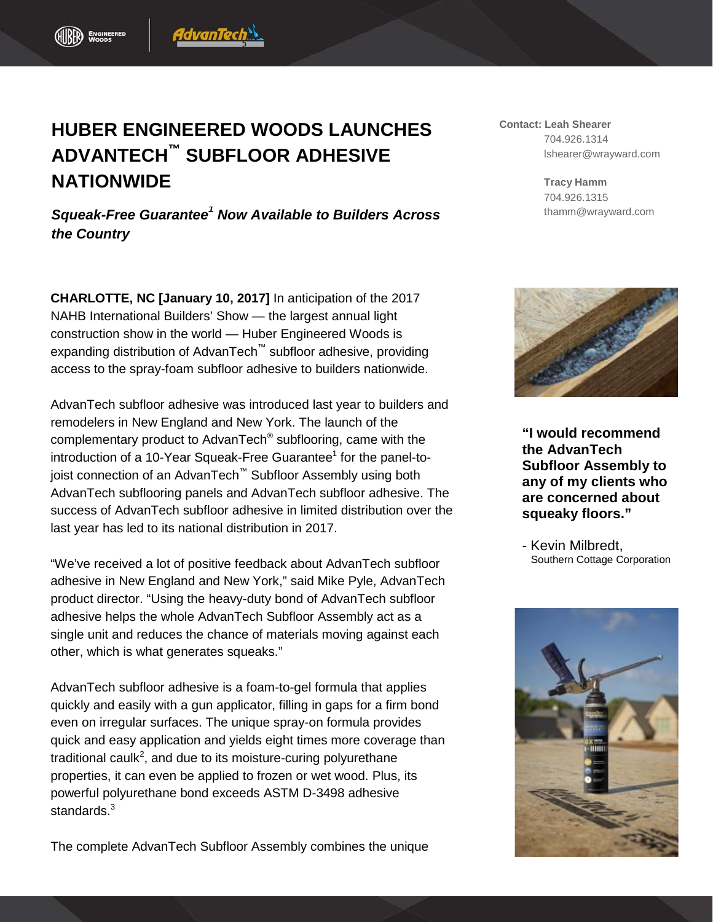## **HUBER ENGINEERED WOODS LAUNCHES ADVANTECH™ SUBFLOOR ADHESIVE NATIONWIDE**

AdvanTech

*Squeak-Free Guarantee<sup>1</sup> Now Available to Builders Across the Country*

**CHARLOTTE, NC [January 10, 2017]** In anticipation of the 2017 NAHB International Builders' Show — the largest annual light construction show in the world — Huber Engineered Woods is expanding distribution of AdvanTech™ subfloor adhesive, providing access to the spray-foam subfloor adhesive to builders nationwide.

AdvanTech subfloor adhesive was introduced last year to builders and remodelers in New England and New York. The launch of the complementary product to AdvanTech® subflooring, came with the introduction of a 10-Year Squeak-Free Guarantee $<sup>1</sup>$  for the panel-to-</sup> joist connection of an AdvanTech™ Subfloor Assembly using both AdvanTech subflooring panels and AdvanTech subfloor adhesive. The success of AdvanTech subfloor adhesive in limited distribution over the last year has led to its national distribution in 2017.

"We've received a lot of positive feedback about AdvanTech subfloor adhesive in New England and New York," said Mike Pyle, AdvanTech product director. "Using the heavy-duty bond of AdvanTech subfloor adhesive helps the whole AdvanTech Subfloor Assembly act as a single unit and reduces the chance of materials moving against each other, which is what generates squeaks."

AdvanTech subfloor adhesive is a foam-to-gel formula that applies quickly and easily with a gun applicator, filling in gaps for a firm bond even on irregular surfaces. The unique spray-on formula provides quick and easy application and yields eight times more coverage than traditional caulk<sup>2</sup>, and due to its moisture-curing polyurethane properties, it can even be applied to frozen or wet wood. Plus, its powerful polyurethane bond exceeds ASTM D-3498 adhesive standards.<sup>3</sup>

The complete AdvanTech Subfloor Assembly combines the unique

**Contact: Leah Shearer** 704.926.1314 lshearer@wrayward.com

> **Tracy Hamm** 704.926.1315 thamm@wrayward.com



**"I would recommend the AdvanTech Subfloor Assembly to any of my clients who are concerned about squeaky floors."**

- Kevin Milbredt, Southern Cottage Corporation